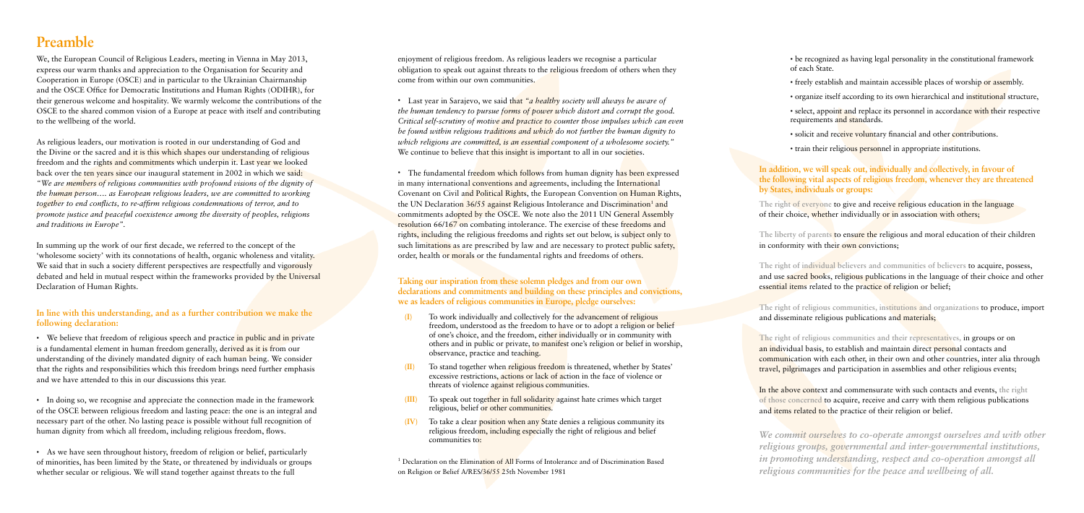## **Preamble**

We, the European Council of Religious Leaders, meeting in Vienna in May 2013, express our warm thanks and appreciation to the Organisation for Security and Cooperation in Europe (OSCE) and in particular to the Ukrainian Chairmanship and the OSCE Office for Democratic Institutions and Human Rights (ODIHR), for their generous welcome and hospitality. We warmly welcome the contributions of the OSCE to the shared common vision of a Europe at peace with itself and contributing to the wellbeing of the world.

As religious leaders, our motivation is rooted in our understanding of God and the Divine or the sacred and it is this which shapes our understanding of religious freedom and the rights and commitments which underpin it. Last year we looked back over the ten years since our inaugural statement in 2002 in which we said: *"We are members of religious communities with profound visions of the dignity of the human person…. as European religious leaders, we are committed to working together to end conflicts, to re-affirm religious condemnations of terror, and to promote justice and peaceful coexistence among the diversity of peoples, religions and traditions in Europe".*

• We believe that freedom of religious speech and practice in public and in private is a fundamental element in human freedom generally, derived as it is from our understanding of the divinely mandated dignity of each human being. We consider that the rights and responsibilities which this freedom brings need further emphasis and we have attended to this in our discussions this year.

In summing up the work of our first decade, we referred to the concept of the 'wholesome society' with its connotations of health, organic wholeness and vitality. We said that in such a society different perspectives are respectfully and vigorously debated and held in mutual respect within the frameworks provided by the Universal Declaration of Human Rights.

• Last year in Sarajevo, we said that *"a healthy society will always be aware of the human tendency to pursue forms of power which distort and corrupt the good. Critical self-scrutiny of motive and practice to counter those impulses which can even be found within religious traditions and which do not further the human dignity to which religions are committed, is an essential component of a wholesome society."*  We continue to believe that this insight is important to all in our societies.

#### **In line with this understanding, and as a further contribution we make the following declaration:**

• The fundamental freedom which follows from human dignity has been expressed in many international conventions and agreements, including the International Covenant on Civil and Political Rights, the European Convention on Human Rights, the UN Declaration 36/55 against Religious Intolerance and Discrimination<sup>1</sup> and commitments adopted by the OSCE. We note also the 2011 UN General Assembly resolution 66/167 on combating intolerance. The exercise of these freedoms and rights, including the religious freedoms and rights set out below, is subject only to such limitations as are prescribed by law and are necessary to protect public safety, order, health or morals or the fundamental rights and freedoms of others.

• In doing so, we recognise and appreciate the connection made in the framework of the OSCE between religious freedom and lasting peace: the one is an integral and necessary part of the other. No lasting peace is possible without full recognition of human dignity from which all freedom, including religious freedom, flows.

• As we have seen throughout history, freedom of religion or belief, particularly of minorities, has been limited by the State, or threatened by individuals or groups whether secular or religious. We will stand together against threats to the full

- freely establish and maintain accessible places of worship or assembly.
- organize itself according to its own hierarchical and institutional structure,
- select, appoint and replace its personnel in accordance with their respective requirements and standards.
- solicit and receive voluntary financial and other contributions.
- 

enjoyment of religious freedom. As religious leaders we recognise a particular obligation to speak out against threats to the religious freedom of others when they come from within our own communities.

**Taking our inspiration from these solemn pledges and from our own declarations and commitments and building on these principles and convictions, we as leaders of religious communities in Europe, pledge ourselves:**

- **(I)** To work individually and collectively for the advancement of religious freedom, understood as the freedom to have or to adopt a religion or belief of one's choice, and the freedom, either individually or in community with others and in public or private, to manifest one's religion or belief in worship, observance, practice and teaching.
- **(II)** To stand together when religious freedom is threatened, whether by States' excessive restrictions, actions or lack of action in the face of violence or threats of violence against religious communities.
- **(III)** To speak out together in full solidarity against hate crimes which target religious, belief or other communities.
- **(IV)** To take a clear position when any State denies a religious community its religious freedom, including especially the right of religious and belief communities to:

<sup>1</sup> Declaration on the Elimination of All Forms of Intolerance and of Discrimination Based on Religion or Belief A/RES/36/55 25th November 1981

 • be recognized as having legal personality in the constitutional framework of each State.

## • train their religious personnel in appropriate institutions. **In addition, we will speak out, individually and collectively, in favour of the following vital aspects of religious freedom, whenever they are threatened by States, individuals or groups:**

**The right of everyone** to give and receive religious education in the language of their choice, whether individually or in association with others;

**The liberty of parents** to ensure the religious and moral education of their children in conformity with their own convictions;

**The right of individual believers and communities of believers** to acquire, possess, and use sacred books, religious publications in the language of their choice and other essential items related to the practice of religion or belief;

**The right of religious communities, institutions and organizations** to produce, import and disseminate religious publications and materials;

**The right of religious communities and their representatives,** in groups or on an individual basis, to establish and maintain direct personal contacts and communication with each other, in their own and other countries, inter alia through travel, pilgrimages and participation in assemblies and other religious events;

In the above context and commensurate with such contacts and events, **the right of those concerned** to acquire, receive and carry with them religious publications and items related to the practice of their religion or belief.

*We commit ourselves to co-operate amongst ourselves and with other religious groups, governmental and inter-governmental institutions, in promoting understanding, respect and co-operation amongst all religious communities for the peace and wellbeing of all.*